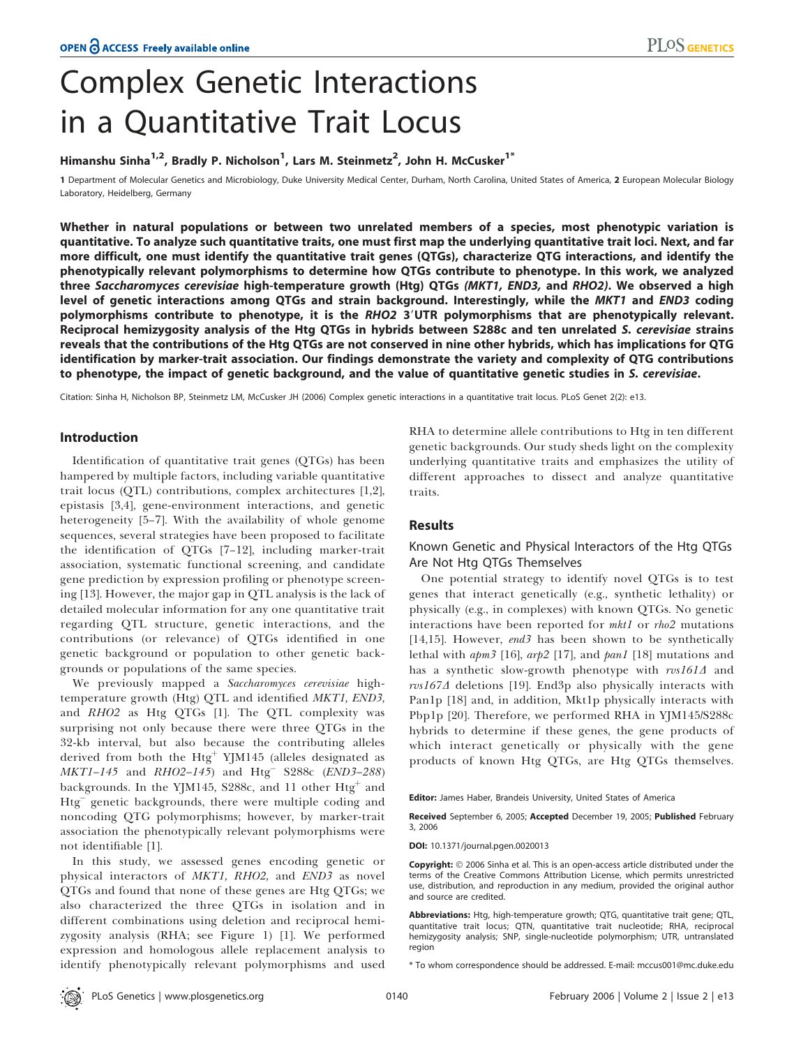# Complex Genetic Interactions in a Quantitative Trait Locus

# Himanshu Sinha $^{1,2}$ , Bradly P. Nicholson $^{1}$ , Lars M. Steinmetz $^{2}$ , John H. McCusker $^{1^{\ast}}$

1 Department of Molecular Genetics and Microbiology, Duke University Medical Center, Durham, North Carolina, United States of America, 2 European Molecular Biology Laboratory, Heidelberg, Germany

Whether in natural populations or between two unrelated members of a species, most phenotypic variation is quantitative. To analyze such quantitative traits, one must first map the underlying quantitative trait loci. Next, and far more difficult, one must identify the quantitative trait genes (QTGs), characterize QTG interactions, and identify the phenotypically relevant polymorphisms to determine how QTGs contribute to phenotype. In this work, we analyzed three *Saccharomyces cerevisiae* high-temperature growth (Htg) QTGs *(MKT1, END3,* and *RHO2)*. We observed a high level of genetic interactions among QTGs and strain background. Interestingly, while the MKT1 and END3 coding polymorphisms contribute to phenotype, it is the RHO2 3'UTR polymorphisms that are phenotypically relevant. Reciprocal hemizygosity analysis of the Htg QTGs in hybrids between S288c and ten unrelated S. cerevisiae strains reveals that the contributions of the Htg QTGs are not conserved in nine other hybrids, which has implications for QTG identification by marker-trait association. Our findings demonstrate the variety and complexity of QTG contributions to phenotype, the impact of genetic background, and the value of quantitative genetic studies in S. cerevisiae.

Citation: Sinha H, Nicholson BP, Steinmetz LM, McCusker JH (2006) Complex genetic interactions in a quantitative trait locus. PLoS Genet 2(2): e13.

## Introduction

Identification of quantitative trait genes (QTGs) has been hampered by multiple factors, including variable quantitative trait locus (QTL) contributions, complex architectures [1,2], epistasis [3,4], gene-environment interactions, and genetic heterogeneity [5–7]. With the availability of whole genome sequences, several strategies have been proposed to facilitate the identification of QTGs [7–12], including marker-trait association, systematic functional screening, and candidate gene prediction by expression profiling or phenotype screening [13]. However, the major gap in QTL analysis is the lack of detailed molecular information for any one quantitative trait regarding QTL structure, genetic interactions, and the contributions (or relevance) of QTGs identified in one genetic background or population to other genetic backgrounds or populations of the same species.

We previously mapped a Saccharomyces cerevisiae hightemperature growth (Htg) QTL and identified MKT1, END3, and RHO2 as Htg QTGs [1]. The QTL complexity was surprising not only because there were three QTGs in the 32-kb interval, but also because the contributing alleles derived from both the  $Htg^+$  YJM145 (alleles designated as  $MKT1-145$  and  $RHO2-145$ ) and  $Htg^-$  S288c (END3-288) backgrounds. In the YJM145, S288c, and 11 other Htg<sup>+</sup> and Htg genetic backgrounds, there were multiple coding and noncoding QTG polymorphisms; however, by marker-trait association the phenotypically relevant polymorphisms were not identifiable [1].

In this study, we assessed genes encoding genetic or physical interactors of MKT1, RHO2, and END3 as novel QTGs and found that none of these genes are Htg QTGs; we also characterized the three QTGs in isolation and in different combinations using deletion and reciprocal hemizygosity analysis (RHA; see Figure 1) [1]. We performed expression and homologous allele replacement analysis to identify phenotypically relevant polymorphisms and used RHA to determine allele contributions to Htg in ten different genetic backgrounds. Our study sheds light on the complexity underlying quantitative traits and emphasizes the utility of different approaches to dissect and analyze quantitative traits.

# **Results**

# Known Genetic and Physical Interactors of the Htg QTGs Are Not Htg QTGs Themselves

One potential strategy to identify novel QTGs is to test genes that interact genetically (e.g., synthetic lethality) or physically (e.g., in complexes) with known QTGs. No genetic interactions have been reported for mkt1 or rho2 mutations [14,15]. However, end3 has been shown to be synthetically lethal with  $apm3$  [16],  $arp2$  [17], and  $pan1$  [18] mutations and has a synthetic slow-growth phenotype with rvs1614 and  $rvs167\Delta$  deletions [19]. End3p also physically interacts with Pan1p [18] and, in addition, Mkt1p physically interacts with Pbp1p [20]. Therefore, we performed RHA in YJM145/S288c hybrids to determine if these genes, the gene products of which interact genetically or physically with the gene products of known Htg QTGs, are Htg QTGs themselves.

Editor: James Haber, Brandeis University, United States of America

Received September 6, 2005; Accepted December 19, 2005; Published February 3, 2006

DOI: 10.1371/journal.pgen.0020013

Copyright:  $\circ$  2006 Sinha et al. This is an open-access article distributed under the terms of the Creative Commons Attribution License, which permits unrestricted use, distribution, and reproduction in any medium, provided the original author and source are credited.

Abbreviations: Htg, high-temperature growth; QTG, quantitative trait gene; QTL, quantitative trait locus; QTN, quantitative trait nucleotide; RHA, reciprocal hemizygosity analysis; SNP, single-nucleotide polymorphism; UTR, untranslated region

\* To whom correspondence should be addressed. E-mail: mccus001@mc.duke.edu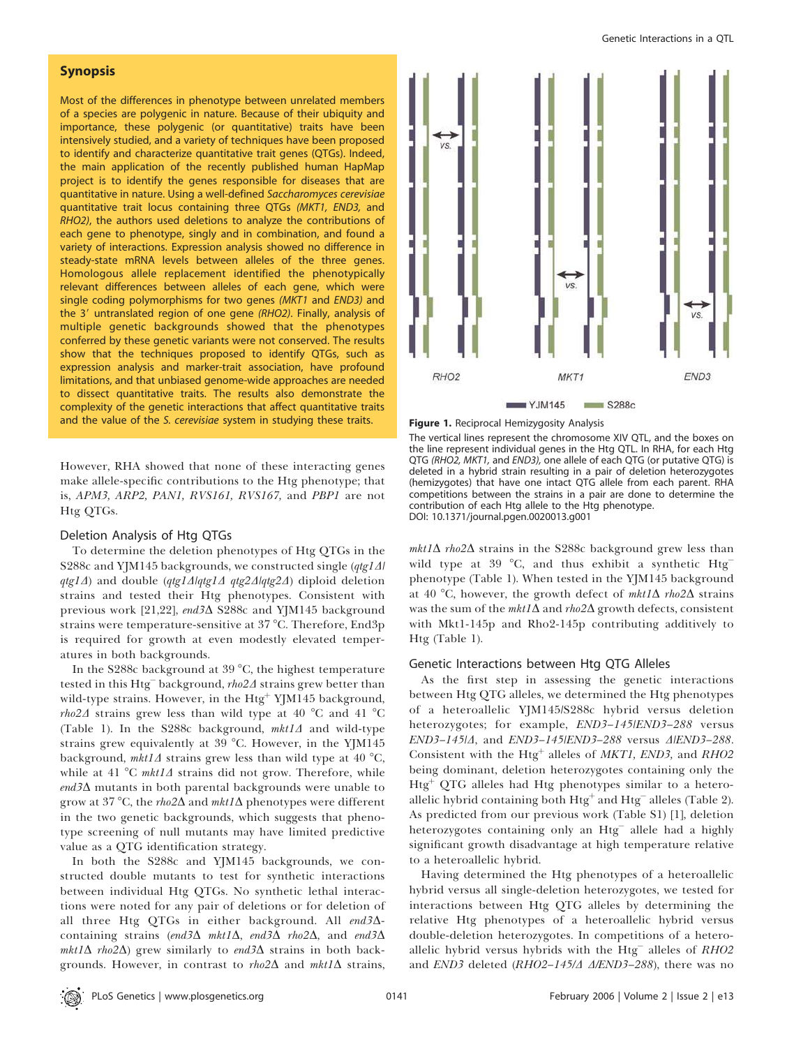### Synopsis

Most of the differences in phenotype between unrelated members of a species are polygenic in nature. Because of their ubiquity and importance, these polygenic (or quantitative) traits have been intensively studied, and a variety of techniques have been proposed to identify and characterize quantitative trait genes (QTGs). Indeed, the main application of the recently published human HapMap project is to identify the genes responsible for diseases that are quantitative in nature. Using a well-defined Saccharomyces cerevisiae quantitative trait locus containing three QTGs (MKT1, END3, and RHO2), the authors used deletions to analyze the contributions of each gene to phenotype, singly and in combination, and found a variety of interactions. Expression analysis showed no difference in steady-state mRNA levels between alleles of the three genes. Homologous allele replacement identified the phenotypically relevant differences between alleles of each gene, which were single coding polymorphisms for two genes (MKT1 and END3) and the 3' untranslated region of one gene (RHO2). Finally, analysis of multiple genetic backgrounds showed that the phenotypes conferred by these genetic variants were not conserved. The results show that the techniques proposed to identify QTGs, such as expression analysis and marker-trait association, have profound limitations, and that unbiased genome-wide approaches are needed to dissect quantitative traits. The results also demonstrate the complexity of the genetic interactions that affect quantitative traits and the value of the S. cerevisiae system in studying these traits.

However, RHA showed that none of these interacting genes make allele-specific contributions to the Htg phenotype; that is, APM3, ARP2, PAN1, RVS161, RVS167, and PBP1 are not Htg QTGs.

#### Deletion Analysis of Htg QTGs

To determine the deletion phenotypes of Htg QTGs in the S288c and YJM145 backgrounds, we constructed single  $(qtg1\Delta l)$  $qtg1\Delta$ ) and double  $(qtg1\Delta|qtg1\Delta|qtg2\Delta|qtg2\Delta)$  diploid deletion strains and tested their Htg phenotypes. Consistent with previous work [21,22], end3∆ S288c and YJM145 background strains were temperature-sensitive at 37 °C. Therefore, End3p is required for growth at even modestly elevated temperatures in both backgrounds.

In the S288c background at 39  $^{\circ}$ C, the highest temperature tested in this Htg<sup>-</sup> background,  $rho2\Delta$  strains grew better than wild-type strains. However, in the  $Htg^+$  YJM145 background, *rho*2 $\Delta$  strains grew less than wild type at 40 °C and 41 °C (Table 1). In the S288c background,  $mkt1\Delta$  and wild-type strains grew equivalently at  $39^{\circ}$ C. However, in the YJM145 background,  $mkt1\Delta$  strains grew less than wild type at 40 °C, while at 41 °C mkt1 $\Delta$  strains did not grow. Therefore, while  $\text{end3}\Delta$  mutants in both parental backgrounds were unable to grow at 37 °C, the rho2 $\Delta$  and mkt1 $\Delta$  phenotypes were different in the two genetic backgrounds, which suggests that phenotype screening of null mutants may have limited predictive value as a QTG identification strategy.

In both the S288c and YJM145 backgrounds, we constructed double mutants to test for synthetic interactions between individual Htg QTGs. No synthetic lethal interactions were noted for any pair of deletions or for deletion of all three Htg QTGs in either background. All end34containing strains (end 3 $\Delta$  mktl $\Delta$ , end 3 $\Delta$  rho2 $\Delta$ , and end 3 $\Delta$  $mkt1\Delta$  rho2 $\Delta$ ) grew similarly to end3 $\Delta$  strains in both backgrounds. However, in contrast to  $rho2\Delta$  and  $mkt1\Delta$  strains,



Figure 1. Reciprocal Hemizygosity Analysis

The vertical lines represent the chromosome XIV QTL, and the boxes on the line represent individual genes in the Htg QTL. In RHA, for each Htg QTG (RHO2, MKT1, and END3), one allele of each QTG (or putative QTG) is deleted in a hybrid strain resulting in a pair of deletion heterozygotes (hemizygotes) that have one intact QTG allele from each parent. RHA competitions between the strains in a pair are done to determine the contribution of each Htg allele to the Htg phenotype. DOI: 10.1371/journal.pgen.0020013.g001

 $mkt1\Delta$  rho2 $\Delta$  strains in the S288c background grew less than wild type at 39  $\degree$ C, and thus exhibit a synthetic Htg<sup>-</sup> phenotype (Table 1). When tested in the YJM145 background at 40 °C, however, the growth defect of  $mkt1\Delta$  rho2 $\Delta$  strains was the sum of the  $mkt1\Delta$  and  $rho2\Delta$  growth defects, consistent with Mkt1-145p and Rho2-145p contributing additively to Htg (Table 1).

#### Genetic Interactions between Htg QTG Alleles

As the first step in assessing the genetic interactions between Htg QTG alleles, we determined the Htg phenotypes of a heteroallelic YJM145/S288c hybrid versus deletion heterozygotes; for example, END3-145/END3-288 versus END3-145/4, and END3-145/END3-288 versus  $\Delta$ /END3-288. Consistent with the Htg<sup>+</sup> alleles of MKT1, END3, and RHO2 being dominant, deletion heterozygotes containing only the  $Htg<sup>+</sup> QTG$  alleles had Htg phenotypes similar to a heteroallelic hybrid containing both  $Htg^+$  and  $Htg^-$  alleles (Table 2). As predicted from our previous work (Table S1) [1], deletion heterozygotes containing only an Htg allele had a highly significant growth disadvantage at high temperature relative to a heteroallelic hybrid.

Having determined the Htg phenotypes of a heteroallelic hybrid versus all single-deletion heterozygotes, we tested for interactions between Htg QTG alleles by determining the relative Htg phenotypes of a heteroallelic hybrid versus double-deletion heterozygotes. In competitions of a heteroallelic hybrid versus hybrids with the  $Htg^-$  alleles of  $RHO2$ and  $END3$  deleted (RHO2-145/ $\triangle$   $\triangle$ /END3-288), there was no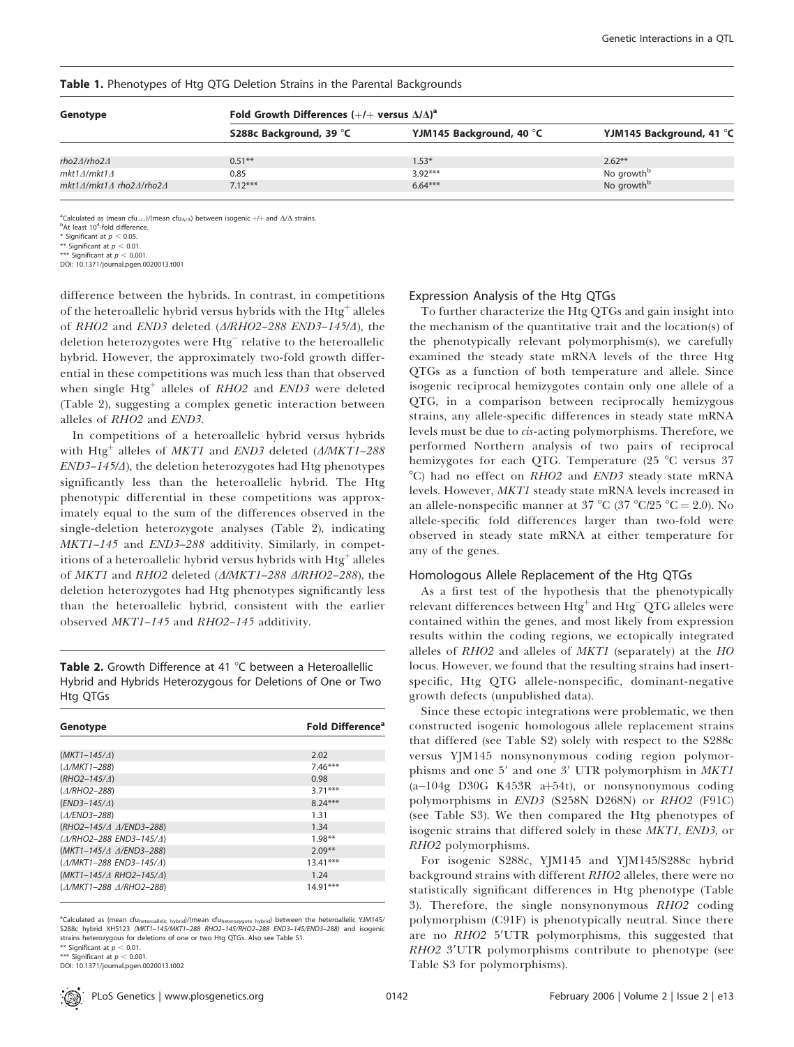| Genotype                | Fold Growth Differences $(+/+$ versus $\Delta/\Delta)^a$ |                          |                          |  |  |  |  |  |  |
|-------------------------|----------------------------------------------------------|--------------------------|--------------------------|--|--|--|--|--|--|
|                         | S288c Background, 39 °C                                  | YJM145 Background, 40 °C | YJM145 Background, 41 °C |  |  |  |  |  |  |
| rho2∆/rho2∆             | $0.51***$                                                | $1.53*$                  | $2.62**$                 |  |  |  |  |  |  |
| mkt1∆/mkt1∆             | 0.85                                                     | $3.92***$                | No growth <sup>b</sup>   |  |  |  |  |  |  |
| mkt1∆/mkt1∆ rho2∆/rho2∆ | $7.12***$                                                | $6.64***$                | No growth <sup>b</sup>   |  |  |  |  |  |  |

#### Table 1. Phenotypes of Htg QTG Deletion Strains in the Parental Backgrounds

<sup>a</sup>Calculated as (mean cfu<sub>+/+</sub>)/(mean cfu<sub> $\Delta/\Delta$ </sub>) between isogenic +/+ and  $\Delta/\Delta$  strains.

<sup>b</sup>At least 10<sup>4</sup>-fold difference.

\* Significant at  $p < 0.05$ \*\* Significant at  $p < 0.01$ 

\*\*\* Significant at  $p < 0.001$ .

DOI: 10.1371/journal.pgen.0020013.t001

difference between the hybrids. In contrast, in competitions of the heteroallelic hybrid versus hybrids with the Htg<sup>+</sup> alleles of RHO2 and END3 deleted  $(\triangle/RHO2-288 \text{ END3}-145/4)$ , the deletion heterozygotes were  $\overline{\text{Hig}^-}$  relative to the heteroallelic hybrid. However, the approximately two-fold growth differential in these competitions was much less than that observed when single  $Htg^+$  alleles of  $RHO2$  and  $END3$  were deleted (Table 2), suggesting a complex genetic interaction between alleles of RHO2 and END3.

In competitions of a heteroallelic hybrid versus hybrids with Htg<sup>+</sup> alleles of MKT1 and END3 deleted ( $\triangle MKT1-288$  $END3-145/4$ ), the deletion heterozygotes had Htg phenotypes significantly less than the heteroallelic hybrid. The Htg phenotypic differential in these competitions was approximately equal to the sum of the differences observed in the single-deletion heterozygote analyses (Table 2), indicating MKT1–145 and END3–288 additivity. Similarly, in competitions of a heteroallelic hybrid versus hybrids with Htg<sup>+</sup> alleles of MKT1 and RHO2 deleted ( $\triangle MKT1-288$   $\triangle RHO2-288$ ), the deletion heterozygotes had Htg phenotypes significantly less than the heteroallelic hybrid, consistent with the earlier observed MKT1–145 and RHO2–145 additivity.

**Table 2.** Growth Difference at 41  $^{\circ}$ C between a Heteroallellic Hybrid and Hybrids Heterozygous for Deletions of One or Two Htg QTGs

| Genotype                                | <b>Fold Difference<sup>a</sup></b> |
|-----------------------------------------|------------------------------------|
|                                         |                                    |
| $(MKT1 - 145/\Delta)$                   | 2.02                               |
| $(\triangle/MKT1 - 288)$                | $7.46***$                          |
| $(RHO2-145/\Delta)$                     | 0.98                               |
| $(A/RHO2 - 288)$                        | $3.71***$                          |
| $(END3-145/\Delta)$                     | $8.24***$                          |
| $(A/END3 - 288)$                        | 1.31                               |
| (RHO2-145/4 A/END3-288)                 | 1.34                               |
| (A/RHO2-288 END3-145/A)                 | $1.98**$                           |
| (MKT1-145/4 A/END3-288)                 | $2.09**$                           |
| $(A/MKT1 - 288$ END3-145/ $\triangle$ 1 | $13.41***$                         |
| $(MKT1-145/\Delta RHO2-145/\Delta)$     | 1.24                               |
| (A/MKT1-288 A/RHO2-288)                 | $14.91***$                         |

<sup>a</sup>Calculated as (mean cfu <sup>a</sup>Calculated as (mean cfu<sub>heteroallelic hybrid)/(mean cfu<sub>heterozygote hybrid) between the heteroallelic YJM145/<br>S288c hybrid XHS123 *(MKT1–145/MKT1–288 RHO2–145/RHO2–288 END3–145/END3–288*) and isogenic</sub></sub> strains heterozygous for deletions of one or two Htg QTGs. Also see Table S1. \*\* Significant at  $p < 0.01$ .

\*\*\* Significant at  $p < 0.001$ 

DOI: 10.1371/journal.pgen.0020013.t002

#### Expression Analysis of the Htg QTGs

To further characterize the Htg QTGs and gain insight into the mechanism of the quantitative trait and the location(s) of the phenotypically relevant polymorphism(s), we carefully examined the steady state mRNA levels of the three Htg QTGs as a function of both temperature and allele. Since isogenic reciprocal hemizygotes contain only one allele of a QTG, in a comparison between reciprocally hemizygous strains, any allele-specific differences in steady state mRNA levels must be due to cis-acting polymorphisms. Therefore, we performed Northern analysis of two pairs of reciprocal hemizygotes for each QTG. Temperature  $(25 \text{ °C}$  versus 37 °C) had no effect on RHO2 and END3 steady state mRNA levels. However, MKT1 steady state mRNA levels increased in an allele-nonspecific manner at 37  $^{\circ}$ C (37  $^{\circ}$ C/25  $^{\circ}$ C = 2.0). No allele-specific fold differences larger than two-fold were observed in steady state mRNA at either temperature for any of the genes.

#### Homologous Allele Replacement of the Htg QTGs

As a first test of the hypothesis that the phenotypically relevant differences between  $\operatorname{Htg}^+$  and  $\operatorname{Htg}^-$  QTG alleles were contained within the genes, and most likely from expression results within the coding regions, we ectopically integrated alleles of RHO2 and alleles of MKT1 (separately) at the HO locus. However, we found that the resulting strains had insertspecific, Htg QTG allele-nonspecific, dominant-negative growth defects (unpublished data).

Since these ectopic integrations were problematic, we then constructed isogenic homologous allele replacement strains that differed (see Table S2) solely with respect to the S288c versus YJM145 nonsynonymous coding region polymorphisms and one 5' and one 3' UTR polymorphism in MKT1  $(a-104g)$  D30G K453R a+54t), or nonsynonymous coding polymorphisms in END3 (S258N D268N) or RHO2 (F91C) (see Table S3). We then compared the Htg phenotypes of isogenic strains that differed solely in these MKT1, END3, or RHO2 polymorphisms.

For isogenic S288c, YJM145 and YJM145/S288c hybrid background strains with different RHO2 alleles, there were no statistically significant differences in Htg phenotype (Table 3). Therefore, the single nonsynonymous RHO2 coding polymorphism (C91F) is phenotypically neutral. Since there are no RHO2 5'UTR polymorphisms, this suggested that RHO2 3'UTR polymorphisms contribute to phenotype (see Table S3 for polymorphisms).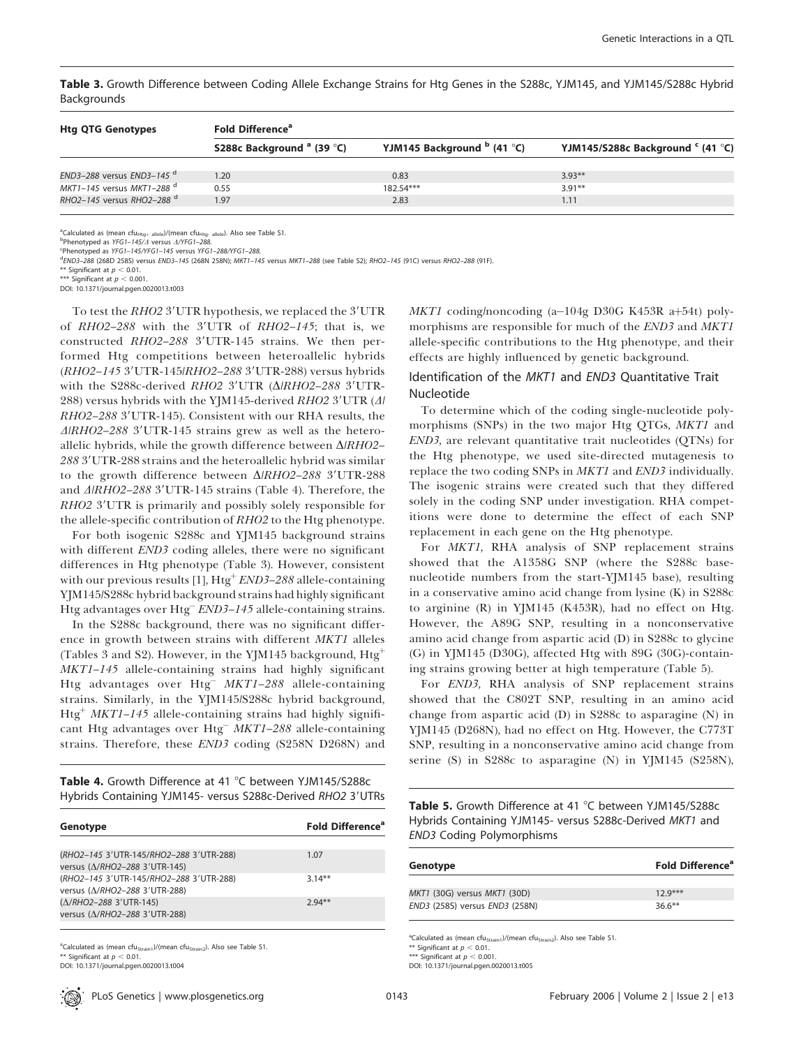Table 3. Growth Difference between Coding Allele Exchange Strains for Htg Genes in the S288c, YJM145, and YJM145/S288c Hybrid Backgrounds

| <b>Htg QTG Genotypes</b>              | <b>Fold Difference</b> <sup>a</sup>   |                                      |                                              |  |  |  |  |  |  |
|---------------------------------------|---------------------------------------|--------------------------------------|----------------------------------------------|--|--|--|--|--|--|
|                                       | S288c Background <sup>a</sup> (39 °C) | YJM145 Background $^{\rm b}$ (41 °C) | YJM145/S288c Background <sup>c</sup> (41 °C) |  |  |  |  |  |  |
| END3-288 versus END3-145 <sup>d</sup> | 1.20                                  | 0.83                                 | $3.93**$                                     |  |  |  |  |  |  |
| MKT1-145 versus MKT1-288 $^d$         | 0.55                                  | 182.54***                            | $3.91**$                                     |  |  |  |  |  |  |
| RHO2-145 versus RHO2-288 <sup>d</sup> | 1.97                                  | 2.83                                 | 1.11                                         |  |  |  |  |  |  |

<sup>a</sup>Calculated as (mean cfu<sub>Htg+ allele</sub>)/(mean cfu<sub>Htg- allele</sub>). Also see Table S1.<br><sup>b</sup>Phenotyped as YFG1–145/*A* versus *A/YFG1–288*.

Phenotyped as YFG1-145/YFG1-145 versus YFG1-288/YFG1-288.

d END3–288 (268D 258S) versus END3–145 (268N 258N); MKT1–145 versus MKT1–288 (see Table S2); RHO2–145 (91C) versus RHO2–288 (91F).

\*\* Significant at  $p < 0.01$ .

ignificant at  $p < 0.001$ .

DOI: 10.1371/journal.pgen.0020013.t003

To test the  $RHO2$  3'UTR hypothesis, we replaced the 3'UTR of  $RHO2-288$  with the 3'UTR of  $RHO2-145$ ; that is, we constructed  $RHO2-288$  3'UTR-145 strains. We then performed Htg competitions between heteroallelic hybrids (RHO2-145 3'UTR-145/RHO2-288 3'UTR-288) versus hybrids with the S288c-derived *RHO2* 3'UTR (*Δ/RHO2–288* 3'UTR-288) versus hybrids with the YJM145-derived  $RHO2$  3'UTR ( $\Delta$ ) RHO2-288 3'UTR-145). Consistent with our RHA results, the  $\triangle$ RHO2–288 3'UTR-145 strains grew as well as the heteroallelic hybrids, while the growth difference between  $\Delta$ *RHO2*– 288 3'UTR-288 strains and the heteroallelic hybrid was similar to the growth difference between  $\Delta$ /RHO2-288 3'UTR-288 and  $\triangle$ /RHO2–288 3'UTR-145 strains (Table 4). Therefore, the RHO2 3'UTR is primarily and possibly solely responsible for the allele-specific contribution of RHO2 to the Htg phenotype.

For both isogenic S288c and YJM145 background strains with different END3 coding alleles, there were no significant differences in Htg phenotype (Table 3). However, consistent with our previous results  $[1]$ , Htg<sup>+</sup> END3-288 allele-containing YJM145/S288c hybrid background strains had highly significant Htg advantages over Htg<sup>-</sup> END3-145 allele-containing strains.

In the S288c background, there was no significant difference in growth between strains with different MKT1 alleles (Tables 3 and S2). However, in the YJM145 background,  $\rm Htg^+$ MKT1–145 allele-containing strains had highly significant Htg advantages over Htg<sup>-</sup>  $MKT1-288$  allele-containing strains. Similarly, in the YJM145/S288c hybrid background, Htg<sup>+</sup> MKT1–145 allele-containing strains had highly significant Htg advantages over Htg<sup> $-$ </sup> MKT1–288 allele-containing strains. Therefore, these END3 coding (S258N D268N) and

Table 4. Growth Difference at 41 °C between YJM145/S288c Hybrids Containing YJM145- versus S288c-Derived RHO2 3'UTRs

| Genotype                                                                 | <b>Fold Difference</b> <sup>a</sup> |
|--------------------------------------------------------------------------|-------------------------------------|
|                                                                          |                                     |
| (RHO2-145 3'UTR-145/RHO2-288 3'UTR-288)<br>versus (Δ/RHO2-288 3'UTR-145) | 1.07                                |
| (RHO2-145 3'UTR-145/RHO2-288 3'UTR-288)<br>versus (Δ/RHO2-288 3'UTR-288) | $3.14**$                            |
| (Δ/RHO2-288 3'UTR-145)<br>versus (Δ/RHO2-288 3'UTR-288)                  | $2.94**$                            |

<sup>a</sup>Calculated as (mean cfu<sub>Strain1</sub>)/(mean cfu<sub>Strain2</sub>). Also see Table S1. Significant at  $p < 0.01$ . DOI: 10.1371/journal.pgen.0020013.t004

 $MKT1$  coding/noncoding (a-104g D30G K453R a+54t) polymorphisms are responsible for much of the END3 and MKT1 allele-specific contributions to the Htg phenotype, and their effects are highly influenced by genetic background.

# Identification of the MKT1 and END3 Quantitative Trait Nucleotide

To determine which of the coding single-nucleotide polymorphisms (SNPs) in the two major Htg QTGs, MKT1 and END3, are relevant quantitative trait nucleotides (QTNs) for the Htg phenotype, we used site-directed mutagenesis to replace the two coding SNPs in *MKT1* and *END3* individually. The isogenic strains were created such that they differed solely in the coding SNP under investigation. RHA competitions were done to determine the effect of each SNP replacement in each gene on the Htg phenotype.

For MKT1, RHA analysis of SNP replacement strains showed that the A1358G SNP (where the S288c basenucleotide numbers from the start-YJM145 base), resulting in a conservative amino acid change from lysine (K) in S288c to arginine (R) in YJM145 (K453R), had no effect on Htg. However, the A89G SNP, resulting in a nonconservative amino acid change from aspartic acid (D) in S288c to glycine (G) in YJM145 (D30G), affected Htg with 89G (30G)-containing strains growing better at high temperature (Table 5).

For END3, RHA analysis of SNP replacement strains showed that the C802T SNP, resulting in an amino acid change from aspartic acid (D) in S288c to asparagine (N) in YJM145 (D268N), had no effect on Htg. However, the C773T SNP, resulting in a nonconservative amino acid change from serine (S) in S288c to asparagine (N) in YJM145 (S258N),

Table 5. Growth Difference at 41 °C between YJM145/S288c Hybrids Containing YJM145- versus S288c-Derived MKT1 and END3 Coding Polymorphisms

| Genotype                       | <b>Fold Difference</b> <sup>ª</sup> |
|--------------------------------|-------------------------------------|
| MKT1 (30G) versus MKT1 (30D)   | $12.9***$                           |
| END3 (258S) versus END3 (258N) | $36.6***$                           |

<sup>a</sup>Calculated as (mean cfu<sub>Strain1</sub>)/(mean cfu<sub>Strain2</sub>). Also see Table S1.

\*\* Significant at  $p < 0.01$ .

\*\*\* Significant at  $p < 0.001$ . DOI: 10.1371/journal.pgen.0020013.t005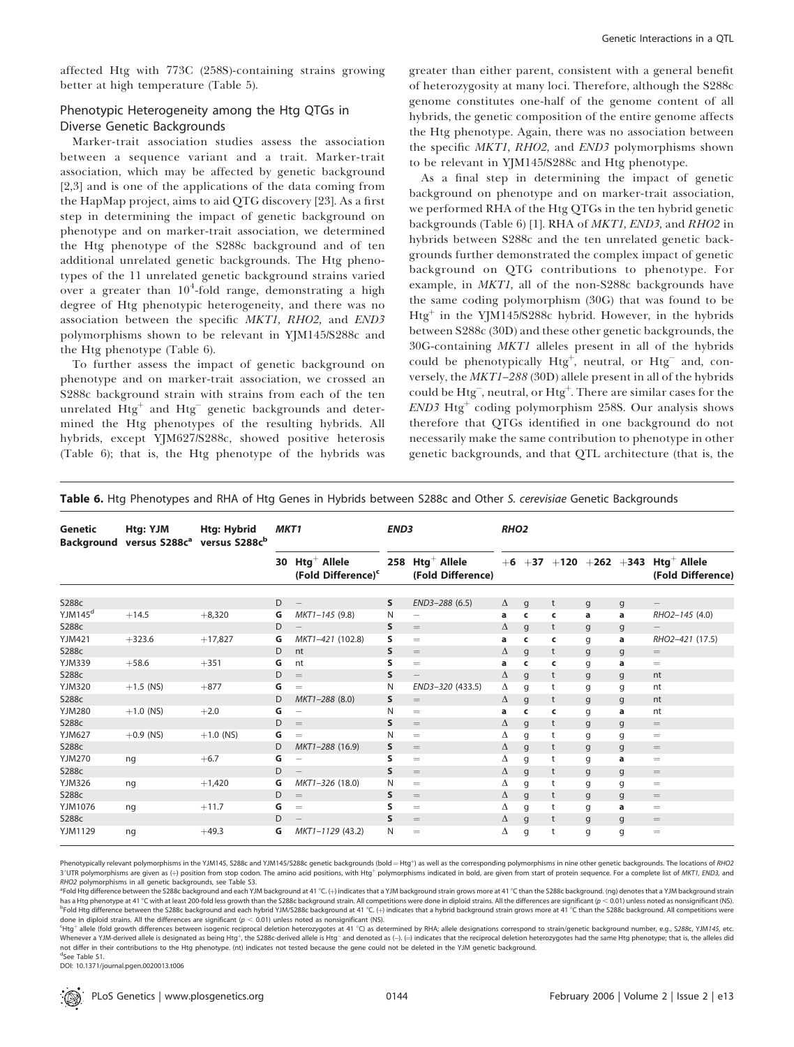affected Htg with 773C (258S)-containing strains growing better at high temperature (Table 5).

# Phenotypic Heterogeneity among the Htg QTGs in Diverse Genetic Backgrounds

Marker-trait association studies assess the association between a sequence variant and a trait. Marker-trait association, which may be affected by genetic background [2,3] and is one of the applications of the data coming from the HapMap project, aims to aid QTG discovery [23]. As a first step in determining the impact of genetic background on phenotype and on marker-trait association, we determined the Htg phenotype of the S288c background and of ten additional unrelated genetic backgrounds. The Htg phenotypes of the 11 unrelated genetic background strains varied over a greater than  $10^4$ -fold range, demonstrating a high degree of Htg phenotypic heterogeneity, and there was no association between the specific MKT1, RHO2, and END3 polymorphisms shown to be relevant in YJM145/S288c and the Htg phenotype (Table 6).

To further assess the impact of genetic background on phenotype and on marker-trait association, we crossed an S288c background strain with strains from each of the ten unrelated  $\text{Htg}^+$  and  $\text{Htg}^-$  genetic backgrounds and determined the Htg phenotypes of the resulting hybrids. All hybrids, except YJM627/S288c, showed positive heterosis (Table 6); that is, the Htg phenotype of the hybrids was

greater than either parent, consistent with a general benefit of heterozygosity at many loci. Therefore, although the S288c genome constitutes one-half of the genome content of all hybrids, the genetic composition of the entire genome affects the Htg phenotype. Again, there was no association between the specific MKT1, RHO2, and END3 polymorphisms shown to be relevant in YJM145/S288c and Htg phenotype.

As a final step in determining the impact of genetic background on phenotype and on marker-trait association, we performed RHA of the Htg QTGs in the ten hybrid genetic backgrounds (Table 6) [1]. RHA of MKT1, END3, and RHO2 in hybrids between S288c and the ten unrelated genetic backgrounds further demonstrated the complex impact of genetic background on QTG contributions to phenotype. For example, in MKT1, all of the non-S288c backgrounds have the same coding polymorphism (30G) that was found to be Htg<sup>+</sup> in the YJM145/S288c hybrid. However, in the hybrids between S288c (30D) and these other genetic backgrounds, the 30G-containing MKT1 alleles present in all of the hybrids could be phenotypically  $Htg^+$ , neutral, or  $Htg^-$  and, conversely, the MKT1–288 (30D) allele present in all of the hybrids could be Htg<sup>-</sup>, neutral, or Htg<sup>+</sup>. There are similar cases for the  $END3$  Htg<sup>+</sup> coding polymorphism 258S. Our analysis shows therefore that QTGs identified in one background do not necessarily make the same contribution to phenotype in other genetic backgrounds, and that QTL architecture (that is, the

| Genetic             | Htg: YJM<br>Background versus S288c <sup>a</sup> | <b>Htg: Hybrid</b><br>versus S288cb | MKT <sub>1</sub><br>END <sub>3</sub> |                                                     |              | RHO <sub>2</sub>                                 |   |              |   |              |              |                                                                              |
|---------------------|--------------------------------------------------|-------------------------------------|--------------------------------------|-----------------------------------------------------|--------------|--------------------------------------------------|---|--------------|---|--------------|--------------|------------------------------------------------------------------------------|
|                     |                                                  |                                     |                                      | 30 $Htg^+$ Allele<br>(Fold Difference) <sup>c</sup> |              | 258 Htg <sup>+</sup> Allele<br>(Fold Difference) |   |              |   |              |              | $+6$ $+37$ $+120$ $+262$ $+343$ Htg <sup>+</sup> Allele<br>(Fold Difference) |
| S288c               |                                                  |                                     | D                                    | $\qquad \qquad -$                                   | s            | END3-288 (6.5)                                   | Δ | q            | t |              |              | $\qquad \qquad -$                                                            |
| YJM145 <sup>d</sup> | $+14.5$                                          | $+8,320$                            | G                                    | MKT1-145 (9.8)                                      | N            | $\overline{\phantom{0}}$                         | a | $\epsilon$   | c | g<br>a       | g<br>a       | RHO2-145 (4.0)                                                               |
| S288c               |                                                  |                                     | D                                    | $\overline{\phantom{0}}$                            | s            | $=$                                              | Δ | q            | t | g            |              |                                                                              |
| <b>YJM421</b>       | $+323.6$                                         | $+17,827$                           | G                                    | MKT1-421 (102.8)                                    | s            | $=$                                              | a | c            | c | g            | g<br>a       | RHO2-421 (17.5)                                                              |
| S288c               |                                                  |                                     | D                                    | nt                                                  | S            | $=$                                              | Δ | q            | t | g            | g            | $=$                                                                          |
| YJM339              | $+58.6$                                          | $+351$                              | G                                    | nt                                                  | S            | $=$                                              | a | c            | c | g            | а            | $=$                                                                          |
| S288c               |                                                  |                                     | D                                    | $=$                                                 | S            | $\qquad \qquad -$                                | Δ | q            | t | g            | $\mathsf{g}$ | nt                                                                           |
| <b>YJM320</b>       | $+1.5$ (NS)                                      | $+877$                              | G                                    | $=$                                                 | N            | END3-320 (433.5)                                 | Δ | q            | t | g            | g            | nt                                                                           |
| S288c               |                                                  |                                     | D                                    | MKT1-288 (8.0)                                      | s            | $=$                                              | Δ | $\mathsf{g}$ | t | g            | g            | nt                                                                           |
| <b>YJM280</b>       | $+1.0$ (NS)                                      | $+2.0$                              | G                                    | $\overline{\phantom{0}}$                            | N            | $=$                                              | a | c            | c | g            | a            | nt                                                                           |
| S288c               |                                                  |                                     | D                                    | $=$                                                 | S            | $=$                                              | Δ | q            | t | g            | g            | $=$                                                                          |
| <b>YJM627</b>       | $+0.9$ (NS)                                      | $+1.0$ (NS)                         | G                                    | $=$                                                 | N            | $=$                                              | Δ | q            | t | g            | g            | $=$                                                                          |
| S288c               |                                                  |                                     | D                                    | MKT1-288 (16.9)                                     | S            | $=$                                              | Δ | $\mathsf{g}$ | t | $\mathsf{g}$ | $\mathsf{g}$ | $=$                                                                          |
| YJM270              | ng                                               | $+6.7$                              | G                                    | $\overline{\phantom{0}}$                            | s            | $=$                                              | Δ | q            | t | g            | a            | $=$                                                                          |
| S288c               |                                                  |                                     | D                                    | $\qquad \qquad -$                                   | $\mathsf{s}$ | $=$                                              | Δ | q            | t | g            | g            | $=$                                                                          |
| <b>YJM326</b>       | ng                                               | $+1,420$                            | G                                    | MKT1-326 (18.0)                                     | N            | $=$                                              | Δ | g            | t | g            | g            | $=$                                                                          |
| S288c               |                                                  |                                     | D                                    | $=$                                                 | S            | $=$                                              | Δ | q            | t | g            | g            | $=$                                                                          |
| YJM1076             | ng                                               | $+11.7$                             | G                                    | $=$                                                 | s            | $=$                                              | Δ | g            | t | g            | a            | $=$                                                                          |
| S288c               |                                                  |                                     | D                                    |                                                     | $\mathsf{s}$ | $=$                                              | Δ | q            | t | $\mathsf{g}$ | g            | $=$                                                                          |
| YJM1129             | ng                                               | $+49.3$                             | G                                    | MKT1-1129 (43.2)                                    | N            | $=$                                              | Δ | q            | t | g            | g            | $=$                                                                          |

Table 6. Htg Phenotypes and RHA of Htg Genes in Hybrids between S288c and Other S. cerevisiae Genetic Backgrounds

Phenotypically relevant polymorphisms in the YJM145, S288c and YJM145/S288c genetic backgrounds (bold = Htg<sup>+</sup>) as well as the corresponding polymorphisms in nine other genetic backgrounds. The locations of RHO2 3'UTR polymorphisms are given as (+) position from stop codon. The amino acid positions, with Htg<sup>+</sup> polymorphisms indicated in bold, are given from start of protein sequence. For a complete list of MKT1, END3, and RHO2 polymorphisms in all genetic backgrounds, see Table S3.

<sup>a</sup>Fold Htg difference between the S288c background and each YJM background at 41 °C. (+) indicates that a YJM background strain grows more at 41 °C than the S288c background. (ng) denotes that a YJM background strain has a Htg phenotype at 41 °C with at least 200-fold less growth than the S288c background strain. All competitions were done in diploid strains. All the differences are significant ( $p < 0.01$ ) unless noted as nonsignifican <sup>b</sup>Fold Htg difference between the S288c background and each hybrid YJM/S288c background at 41 °C. (+) indicates that a hybrid background strain grows more at 41 °C than the S288c background. All competitions were done in diploid strains. All the differences are significant ( $p < 0.01$ ) unless noted as nonsignificant (NS).

Htg<sup>+</sup> allele (fold growth differences between isogenic reciprocal deletion heterozygotes at 41 °C) as determined by RHA; allele designations correspond to strain/genetic background number, e.g., S288c, YJM145, etc. Mhenever a YJM-derived allele is designated as being Htg<sup>+</sup>, the S288c-derived allele is Htg<sup>−</sup> and denoted as (-). (=) indicates that the reciprocal deletion heterozygotes had the same Htg phenotype; that is, the alleles not differ in their contributions to the Htg phenotype. (nt) indicates not tested because the gene could not be deleted in the YJM genetic background.

d See Table S1. DOI: 10.1371/journal.pgen.0020013.t006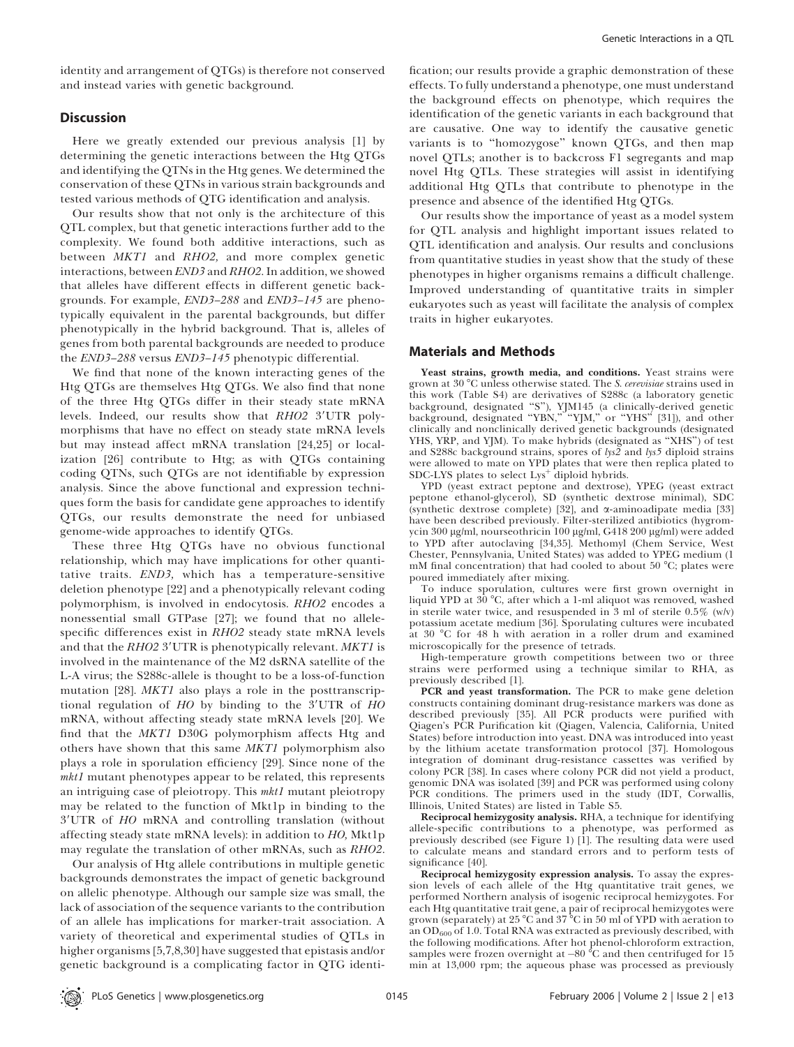identity and arrangement of QTGs) is therefore not conserved and instead varies with genetic background.

### **Discussion**

Here we greatly extended our previous analysis [1] by determining the genetic interactions between the Htg QTGs and identifying the QTNs in the Htg genes. We determined the conservation of these QTNs in various strain backgrounds and tested various methods of QTG identification and analysis.

Our results show that not only is the architecture of this QTL complex, but that genetic interactions further add to the complexity. We found both additive interactions, such as between MKT1 and RHO2, and more complex genetic interactions, between END3 and RHO2. In addition, we showed that alleles have different effects in different genetic backgrounds. For example, END3–288 and END3–145 are phenotypically equivalent in the parental backgrounds, but differ phenotypically in the hybrid background. That is, alleles of genes from both parental backgrounds are needed to produce the END3–288 versus END3–145 phenotypic differential.

We find that none of the known interacting genes of the Htg QTGs are themselves Htg QTGs. We also find that none of the three Htg QTGs differ in their steady state mRNA levels. Indeed, our results show that RHO2 3'UTR polymorphisms that have no effect on steady state mRNA levels but may instead affect mRNA translation [24,25] or localization [26] contribute to Htg; as with QTGs containing coding QTNs, such QTGs are not identifiable by expression analysis. Since the above functional and expression techniques form the basis for candidate gene approaches to identify QTGs, our results demonstrate the need for unbiased genome-wide approaches to identify QTGs.

These three Htg QTGs have no obvious functional relationship, which may have implications for other quantitative traits. END3, which has a temperature-sensitive deletion phenotype [22] and a phenotypically relevant coding polymorphism, is involved in endocytosis. RHO2 encodes a nonessential small GTPase [27]; we found that no allelespecific differences exist in RHO2 steady state mRNA levels and that the  $RHO2$  3'UTR is phenotypically relevant. MKT1 is involved in the maintenance of the M2 dsRNA satellite of the L-A virus; the S288c-allele is thought to be a loss-of-function mutation [28]. MKT1 also plays a role in the posttranscriptional regulation of  $HO$  by binding to the 3'UTR of  $HO$ mRNA, without affecting steady state mRNA levels [20]. We find that the MKT1 D30G polymorphism affects Htg and others have shown that this same MKT1 polymorphism also plays a role in sporulation efficiency [29]. Since none of the mkt1 mutant phenotypes appear to be related, this represents an intriguing case of pleiotropy. This mkt1 mutant pleiotropy may be related to the function of Mkt1p in binding to the 3'UTR of HO mRNA and controlling translation (without affecting steady state mRNA levels): in addition to HO, Mkt1p may regulate the translation of other mRNAs, such as *RHO2*.

Our analysis of Htg allele contributions in multiple genetic backgrounds demonstrates the impact of genetic background on allelic phenotype. Although our sample size was small, the lack of association of the sequence variants to the contribution of an allele has implications for marker-trait association. A variety of theoretical and experimental studies of QTLs in higher organisms [5,7,8,30] have suggested that epistasis and/or genetic background is a complicating factor in QTG identi-

fication; our results provide a graphic demonstration of these effects. To fully understand a phenotype, one must understand the background effects on phenotype, which requires the identification of the genetic variants in each background that are causative. One way to identify the causative genetic variants is to ''homozygose'' known QTGs, and then map novel QTLs; another is to backcross F1 segregants and map novel Htg QTLs. These strategies will assist in identifying additional Htg QTLs that contribute to phenotype in the presence and absence of the identified Htg QTGs.

Our results show the importance of yeast as a model system for QTL analysis and highlight important issues related to QTL identification and analysis. Our results and conclusions from quantitative studies in yeast show that the study of these phenotypes in higher organisms remains a difficult challenge. Improved understanding of quantitative traits in simpler eukaryotes such as yeast will facilitate the analysis of complex traits in higher eukaryotes.

#### Materials and Methods

Yeast strains, growth media, and conditions. Yeast strains were grown at 30 °C unless otherwise stated. The S. cerevisiae strains used in this work (Table S4) are derivatives of S288c (a laboratory genetic background, designated ''S''), YJM145 (a clinically-derived genetic background, designated "YBN," "YJM," or "YHS" [31]), and other clinically and nonclinically derived genetic backgrounds (designated YHS, YRP, and YJM). To make hybrids (designated as ''XHS'') of test and S288c background strains, spores of lys2 and lys5 diploid strains were allowed to mate on YPD plates that were then replica plated to SDC-LYS plates to select Lys<sup>+</sup> diploid hybrids.

YPD (yeast extract peptone and dextrose), YPEG (yeast extract peptone ethanol-glycerol), SD (synthetic dextrose minimal), SDC (synthetic dextrose complete) [32], and a-aminoadipate media [33] have been described previously. Filter-sterilized antibiotics (hygromycin 300 μg/ml, nourseothricin 100 μg/ml, G418 200 μg/ml) were added to YPD after autoclaving [34,35]. Methomyl (Chem Service, West Chester, Pennsylvania, United States) was added to YPEG medium (1 mM final concentration) that had cooled to about  $50^{\circ}$ C; plates were poured immediately after mixing.

To induce sporulation, cultures were first grown overnight in liquid YPD at  $30^{\circ}$ C, after which a 1-ml aliquot was removed, washed in sterile water twice, and resuspended in 3 ml of sterile  $0.5\%$  (w/v) potassium acetate medium [36]. Sporulating cultures were incubated at 30 °C for 48 h with aeration in a roller drum and examined microscopically for the presence of tetrads.

High-temperature growth competitions between two or three strains were performed using a technique similar to RHA, as previously described [1].

PCR and yeast transformation. The PCR to make gene deletion constructs containing dominant drug-resistance markers was done as described previously [35]. All PCR products were purified with Qiagen's PCR Purification kit (Qiagen, Valencia, California, United States) before introduction into yeast. DNA was introduced into yeast by the lithium acetate transformation protocol [37]. Homologous integration of dominant drug-resistance cassettes was verified by colony PCR [38]. In cases where colony PCR did not yield a product, genomic DNA was isolated [39] and PCR was performed using colony PCR conditions. The primers used in the study (IDT, Corwallis, Illinois, United States) are listed in Table S5.

Reciprocal hemizygosity analysis. RHA, a technique for identifying allele-specific contributions to a phenotype, was performed as previously described (see Figure 1) [1]. The resulting data were used to calculate means and standard errors and to perform tests of significance [40].

Reciprocal hemizygosity expression analysis. To assay the expression levels of each allele of the Htg quantitative trait genes, we performed Northern analysis of isogenic reciprocal hemizygotes. For each Htg quantitative trait gene, a pair of reciprocal hemizygotes were grown (separately) at 25 °C and 37 °C in 50 ml of YPD with aeration to an  $OD_{600}$  of 1.0. Total RNA was extracted as previously described, with the following modifications. After hot phenol-chloroform extraction, samples were frozen overnight at  $-80$  °C and then centrifuged for 15 min at 13,000 rpm; the aqueous phase was processed as previously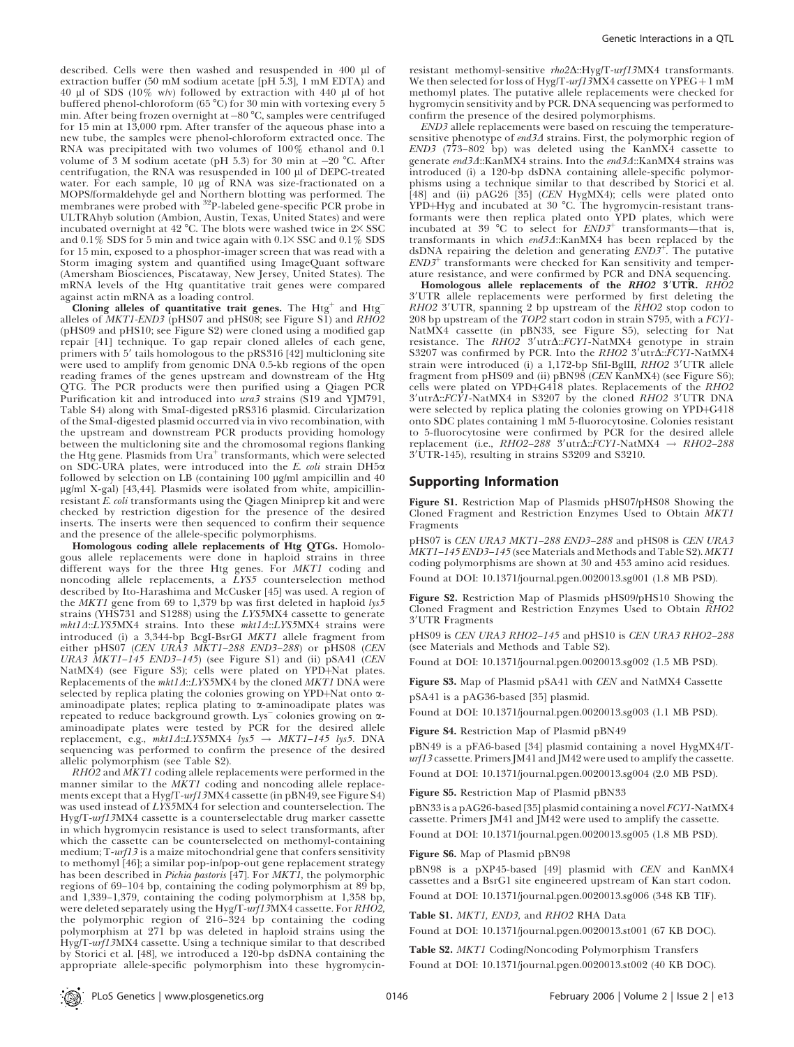Genetic Interactions in a QTL

described. Cells were then washed and resuspended in 400 µl of extraction buffer (50 mM sodium acetate [pH 5.3], 1 mM EDTA) and 40 ll of SDS (10% w/v) followed by extraction with 440 ll of hot buffered phenol-chloroform ( $65^{\circ}$ C) for 30 min with vortexing every 5 min. After being frozen overnight at  $-80$  °C, samples were centrifuged for 15 min at 13,000 rpm. After transfer of the aqueous phase into a new tube, the samples were phenol-chloroform extracted once. The RNA was precipitated with two volumes of 100% ethanol and 0.1 volume of 3 M sodium acetate (pH 5.3) for 30 min at  $-20$  °C. After centrifugation, the RNA was resuspended in 100 µl of DEPC-treated water. For each sample, 10 µg of RNA was size-fractionated on a MOPS/formaldehyde gel and Northern blotting was performed. The membranes were probed with <sup>32</sup>P-labeled gene-specific PCR probe in ULTRAhyb solution (Ambion, Austin, Texas, United States) and were incubated overnight at 42 °C. The blots were washed twice in  $2 \times SSC$ and  $0.1\%$  SDS for 5 min and twice again with  $0.1 \times$  SSC and  $0.1\%$  SDS for 15 min, exposed to a phosphor-imager screen that was read with a Storm imaging system and quantified using ImageQuant software (Amersham Biosciences, Piscataway, New Jersey, United States). The mRNA levels of the Htg quantitative trait genes were compared against actin mRNA as a loading control.

Cloning alleles of quantitative trait genes. The  $Htg^+$  and  $Htg^$ alleles of  $MKT1$ -END3 (pHS07 and pHS08; see Figure S1) and  $RH\overline{O}2$ (pHS09 and pHS10; see Figure S2) were cloned using a modified gap repair [41] technique. To gap repair cloned alleles of each gene, primers with 5' tails homologous to the pRS316 [42] multicloning site were used to amplify from genomic DNA 0.5-kb regions of the open reading frames of the genes upstream and downstream of the Htg QTG. The PCR products were then purified using a Qiagen PCR Purification kit and introduced into ura3 strains (S19 and YJM791, Table S4) along with SmaI-digested pRS316 plasmid. Circularization of the SmaI-digested plasmid occurred via in vivo recombination, with the upstream and downstream PCR products providing homology between the multicloning site and the chromosomal regions flanking the Htg gene. Plasmids from Ura<sup>+</sup> transformants, which were selected on SDC-URA plates, were introduced into the E. coli strain DH5a followed by selection on LB (containing  $100 \mu g/m$  ampicillin and  $40$ ug/ml X-gal) [43,44]. Plasmids were isolated from white, ampicillinresistant  $\overline{E}$ . coli transformants using the Qiagen Miniprep kit and were checked by restriction digestion for the presence of the desired inserts. The inserts were then sequenced to confirm their sequence and the presence of the allele-specific polymorphisms.

Homologous coding allele replacements of Htg QTGs. Homologous allele replacements were done in haploid strains in three different ways for the three Htg genes. For MKT1 coding and noncoding allele replacements, a LYS5 counterselection method described by Ito-Harashima and McCusker [45] was used. A region of the MKT1 gene from 69 to 1,379 bp was first deleted in haploid lys5 strains (YHS731 and S1288) using the LYS5MX4 cassette to generate  $mkt1A::LYS5MX4$  strains. Into these  $mkt1A::LYS5MX4$  strains were introduced (i) a 3,344-bp BcgI-BsrGI MKT1 allele fragment from either pHS07 (*CEN URĀ3 MKT1-288 END3-288*) or pHS08 (*CEN* URA3  $\overline{MKT1-145}$  END3-145) (see Figure S1) and (ii) pSA41 (CEN NatMX4) (see Figure S3); cells were plated on YPD+Nat plates. Replacements of the mkt14::LYS5MX4 by the cloned MKT1 DNA were selected by replica plating the colonies growing on YPD+Nat onto  $\alpha$ aminoadipate plates; replica plating to  $\alpha$ -aminoadipate plates was repeated to reduce background growth. Lys colonies growing on aaminoadipate plates were tested by PCR for the desired allele replacement, e.g.,  $mkt1\Delta::LYS5MX4$  lys5  $\rightarrow$  MKT1-145 lys5. DNA sequencing was performed to confirm the presence of the desired allelic polymorphism (see Table S2).

RHO2 and MKT1 coding allele replacements were performed in the manner similar to the MKT1 coding and noncoding allele replacements except that a Hyg/T-urf13MX4 cassette (in pBN49, see Figure S4) was used instead of LYS5MX4 for selection and counterselection. The Hyg/T-urf13MX4 cassette is a counterselectable drug marker cassette in which hygromycin resistance is used to select transformants, after which the cassette can be counterselected on methomyl-containing medium; T-urf13 is a maize mitochondrial gene that confers sensitivity to methomyl [46]; a similar pop-in/pop-out gene replacement strategy has been described in Pichia pastoris [47]. For MKTI, the polymorphic regions of 69–104 bp, containing the coding polymorphism at 89 bp, and 1,339–1,379, containing the coding polymorphism at 1,358 bp, were deleted separately using the Hyg/T*-urf13*MX4 cassette. For *RHO2,* the polymorphic region of 216–324 bp containing the coding polymorphism at 271 bp was deleted in haploid strains using the Hyg/T-urf13MX4 cassette. Using a technique similar to that described by Storici et al. [48], we introduced a 120-bp dsDNA containing the appropriate allele-specific polymorphism into these hygromycin-

resistant methomyl-sensitive rho2D::Hyg/T-urf13MX4 transformants. We then selected for loss of Hyg/T-urf13MX4 cassette on  $YPEG + 1$  mM methomyl plates. The putative allele replacements were checked for hygromycin sensitivity and by PCR. DNA sequencing was performed to confirm the presence of the desired polymorphisms.

END3 allele replacements were based on rescuing the temperaturesensitive phenotype of end3 $\Delta$  strains. First, the polymorphic region of  $END3$  (773–802 bp) was deleted using the KanMX4 cassette to generate end34::KanMX4 strains. Into the end34::KanMX4 strains was introduced (i) a 120-bp dsDNA containing allele-specific polymorphisms using a technique similar to that described by Storici et al.  $[48]$  and (ii) pAG26  $[35]$  (CEN HygMX4); cells were plated onto YPD+Hyg and incubated at 30 °C. The hygromycin-resistant transformants were then replica plated onto YPD plates, which were incubated at 39 °C to select for  $END3^+$  transformants—that is, transformants in which end34::KanMX4 has been replaced by the  $dSDNA$  repairing the deletion and generating  $END3^+$ . The putative  $END3<sup>+</sup>$  transformants were checked for Kan sensitivity and temperature resistance, and were confirmed by PCR and DNA sequencing.

Homologous allele replacements of the RHO2 3'UTR. RHO2 3'UTR allele replacements were performed by first deleting the  $RHO2$  3'UTR, spanning 2 bp upstream of the  $RHO2$  stop codon to 208 bp upstream of the TOP2 start codon in strain S795, with a FCY1- NatMX4 cassette (in pBN33, see Figure S5), selecting for Nat<br>resistance. The *RHO2 3'*utr∆::*FCY1-*NatMX4 genotype in strain S3207 was confirmed by PCR. Into the RHO2 3'utr $\Delta$ ::FCY1-NatMX4 strain were introduced (i) a  $1,172$ -bp SfiI-BglII,  $RHO2$  3'UTR allele fragment from pHS09 and (ii) pBN98 (CEN KanMX4) (see Figure S6); cells were plated on YPD+G418 plates. Replacements of the RHO2 3'utr $\triangle$ ::FCY1-NatMX4 in S3207 by the cloned RHO2 3'UTR DNA were selected by replica plating the colonies growing on YPD+G418 onto SDC plates containing 1 mM 5-fluorocytosine. Colonies resistant to 5-fluorocytosine were confirmed by PCR for the desired allele replacement (i.e.,  $RHO2-288$  3'utr $\Delta$ :: $FCY1$ -NatMX4  $\rightarrow RHO2-288$ 39UTR-145), resulting in strains S3209 and S3210.

# Supporting Information

Figure S1. Restriction Map of Plasmids pHS07/pHS08 Showing the Cloned Fragment and Restriction Enzymes Used to Obtain MKT1 Fragments

pHS07 is CEN URA3 MKT1–288 END3–288 and pHS08 is CEN URA3 MKT1–145 END3–145 (see Materials and Methods and Table S2). MKT1 coding polymorphisms are shown at 30 and 453 amino acid residues. Found at DOI: 10.1371/journal.pgen.0020013.sg001 (1.8 MB PSD).

Figure S2. Restriction Map of Plasmids pHS09/pHS10 Showing the Cloned Fragment and Restriction Enzymes Used to Obtain RHO2 3'UTR Fragments

pHS09 is CEN URA3 RHO2–145 and pHS10 is CEN URA3 RHO2–288 (see Materials and Methods and Table S2).

Found at DOI: 10.1371/journal.pgen.0020013.sg002 (1.5 MB PSD).

Figure S3. Map of Plasmid pSA41 with CEN and NatMX4 Cassette pSA41 is a pAG36-based [35] plasmid.

Found at DOI: 10.1371/journal.pgen.0020013.sg003 (1.1 MB PSD).

Figure S4. Restriction Map of Plasmid pBN49

pBN49 is a pFA6-based [34] plasmid containing a novel HygMX4/Turf13 cassette. Primers JM41 and JM42 were used to amplify the cassette. Found at DOI: 10.1371/journal.pgen.0020013.sg004 (2.0 MB PSD).

Figure S5. Restriction Map of Plasmid pBN33

pBN33 is a pAG26-based [35] plasmid containing a novel FCY1-NatMX4 cassette. Primers JM41 and JM42 were used to amplify the cassette. Found at DOI: 10.1371/journal.pgen.0020013.sg005 (1.8 MB PSD).

Figure S6. Map of Plasmid pBN98

pBN98 is a pXP45-based [49] plasmid with CEN and KanMX4 cassettes and a BsrG1 site engineered upstream of Kan start codon. Found at DOI: 10.1371/journal.pgen.0020013.sg006 (348 KB TIF).

Table S1. MKT1, END3, and RHO2 RHA Data

Found at DOI: 10.1371/journal.pgen.0020013.st001 (67 KB DOC).

Table S2. MKT1 Coding/Noncoding Polymorphism Transfers Found at DOI: 10.1371/journal.pgen.0020013.st002 (40 KB DOC).